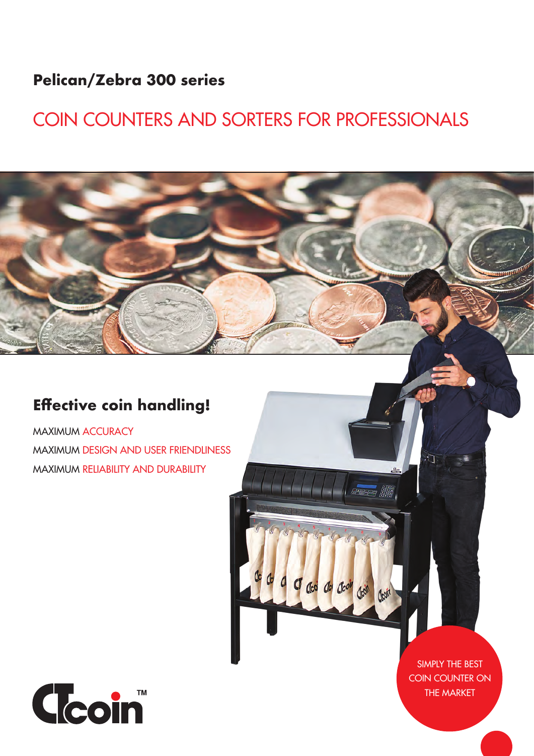### **Pelican/Zebra 300 series**

# COIN COUNTERS AND SORTERS FOR PROFESSIONALS

### **Effective coin handling!**

MAXIMUM ACCURACY MAXIMUM DESIGN AND USER FRIENDLINESS MAXIMUM RELIABILITY AND DURABILITY



SIMPLY THE BEST COIN COUNTER ON THE MARKET

**BERBER BER** 

Clod Clo Clool Clode Clear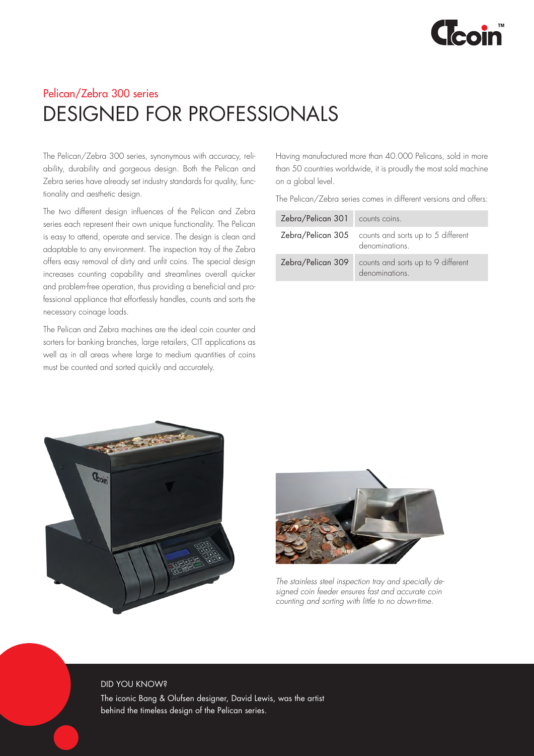

### Pelican/Zebra 300 series DESIGNED FOR PROFESSIONALS

The Pelican/Zebra 300 series, synonymous with accuracy, reliability, durability and gorgeous design. Both the Pelican and Zebra series have already set industry standards for quality, functionality and aesthetic design.

The two different design influences of the Pelican and Zebra series each represent their own unique functionality. The Pelican is easy to attend, operate and service. The design is clean and adaptable to any environment. The inspection tray of the Zebra offers easy removal of dirty and unfit coins. The special design increases counting capability and streamlines overall quicker and problem-free operation, thus providing a beneficial and professional appliance that effortlessly handles, counts and sorts the necessary coinage loads.

The Pelican and Zebra machines are the ideal coin counter and sorters for banking branches, large retailers, CIT applications as well as in all areas where large to medium quantities of coins must be counted and sorted quickly and accurately.

Having manufactured more than 40.000 Pelicans, sold in more than 50 countries worldwide, it is proudly the most sold machine on a global level.

The Pelican/Zebra series comes in different versions and offers:

| Zebra/Pelican 301 counts coins. |                                                                               |
|---------------------------------|-------------------------------------------------------------------------------|
|                                 | <b>Zebra/Pelican 305</b> counts and sorts up to 5 different<br>denominations. |
| Zebra/Pelican 309               | counts and sorts up to 9 different<br>denominations.                          |





*The stainless steel inspection tray and specially designed coin feeder ensures fast and accurate coin counting and sorting with little to no down-time.*

#### DID YOU KNOW?

The iconic Bang & Olufsen designer, David Lewis, was the artist behind the timeless design of the Pelican series.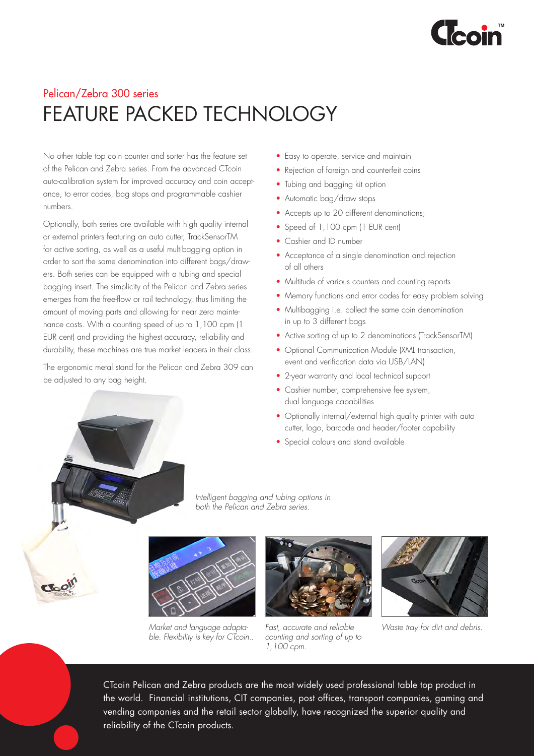

# Pelican/Zebra 300 series FEATURE PACKED TECHNOLOGY

No other table top coin counter and sorter has the feature set of the Pelican and Zebra series. From the advanced CTcoin auto-calibration system for improved accuracy and coin acceptance, to error codes, bag stops and programmable cashier numbers.

Optionally, both series are available with high quality internal or external printers featuring an auto cutter, TrackSensorTM for active sorting, as well as a useful multibagging option in order to sort the same denomination into different bags/drawers. Both series can be equipped with a tubing and special bagging insert. The simplicity of the Pelican and Zebra series emerges from the free-flow or rail technology, thus limiting the amount of moving parts and allowing for near zero maintenance costs. With a counting speed of up to 1,100 cpm (1 EUR cent) and providing the highest accuracy, reliability and durability, these machines are true market leaders in their class.

The ergonomic metal stand for the Pelican and Zebra 309 can be adjusted to any bag height.

- Easy to operate, service and maintain
- Rejection of foreign and counterfeit coins
- Tubing and bagging kit option
- Automatic bag/draw stops
- Accepts up to 20 different denominations;
- Speed of 1,100 cpm (1 EUR cent)
- Cashier and ID number
- Acceptance of a single denomination and rejection of all others
- Multitude of various counters and counting reports
- Memory functions and error codes for easy problem solving
- Multibagging i.e. collect the same coin denomination in up to 3 different bags
- Active sorting of up to 2 denominations (TrackSensorTM)
- Optional Communication Module (XML transaction, event and verification data via USB/LAN)
- 2-year warranty and local technical support
- Cashier number, comprehensive fee system, dual language capabilities
- Optionally internal/external high quality printer with auto cutter, logo, barcode and header/footer capability
- Special colours and stand available



*Intelligent bagging and tubing options in both the Pelican and Zebra series.*



*Market and language adaptable. Flexibility is key for CTcoin..*



*Fast, accurate and reliable counting and sorting of up to 1,100 cpm.*



*Waste tray for dirt and debris.* 

CTcoin Pelican and Zebra products are the most widely used professional table top product in the world. Financial institutions, CIT companies, post offices, transport companies, gaming and vending companies and the retail sector globally, have recognized the superior quality and reliability of the CTcoin products.